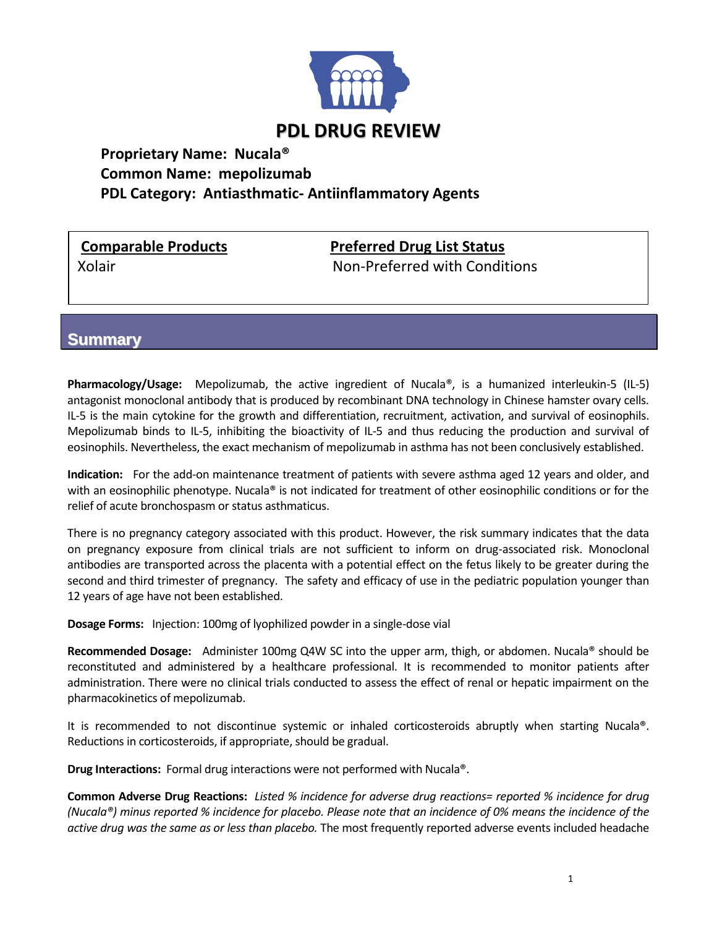

## **Proprietary Name: Nucala® Common Name: mepolizumab PDL Category: Antiasthmatic- Antiinflammatory Agents**

**Comparable Products Preferred Drug List Status**

Xolair Non-Preferred with Conditions

**Summary**

**Pharmacology/Usage:** Mepolizumab, the active ingredient of Nucala®, is a humanized interleukin-5 (IL-5) antagonist monoclonal antibody that is produced by recombinant DNA technology in Chinese hamster ovary cells. IL-5 is the main cytokine for the growth and differentiation, recruitment, activation, and survival of eosinophils. Mepolizumab binds to IL-5, inhibiting the bioactivity of IL-5 and thus reducing the production and survival of eosinophils. Nevertheless, the exact mechanism of mepolizumab in asthma has not been conclusively established.

**Indication:** For the add-on maintenance treatment of patients with severe asthma aged 12 years and older, and with an eosinophilic phenotype. Nucala<sup>®</sup> is not indicated for treatment of other eosinophilic conditions or for the relief of acute bronchospasm or status asthmaticus.

There is no pregnancy category associated with this product. However, the risk summary indicates that the data on pregnancy exposure from clinical trials are not sufficient to inform on drug-associated risk. Monoclonal antibodies are transported across the placenta with a potential effect on the fetus likely to be greater during the second and third trimester of pregnancy. The safety and efficacy of use in the pediatric population younger than 12 years of age have not been established.

**Dosage Forms:** Injection: 100mg of lyophilized powder in a single-dose vial

**Recommended Dosage:** Administer 100mg Q4W SC into the upper arm, thigh, or abdomen. Nucala® should be reconstituted and administered by a healthcare professional. It is recommended to monitor patients after administration. There were no clinical trials conducted to assess the effect of renal or hepatic impairment on the pharmacokinetics of mepolizumab.

It is recommended to not discontinue systemic or inhaled corticosteroids abruptly when starting Nucala®. Reductions in corticosteroids, if appropriate, should be gradual.

**Drug Interactions:** Formal drug interactions were not performed with Nucala®.

**Common Adverse Drug Reactions:** *Listed % incidence for adverse drug reactions= reported % incidence for drug (Nucala®) minus reported % incidence for placebo. Please note that an incidence of 0% means the incidence of the active drug was the same as or less than placebo.* The most frequently reported adverse events included headache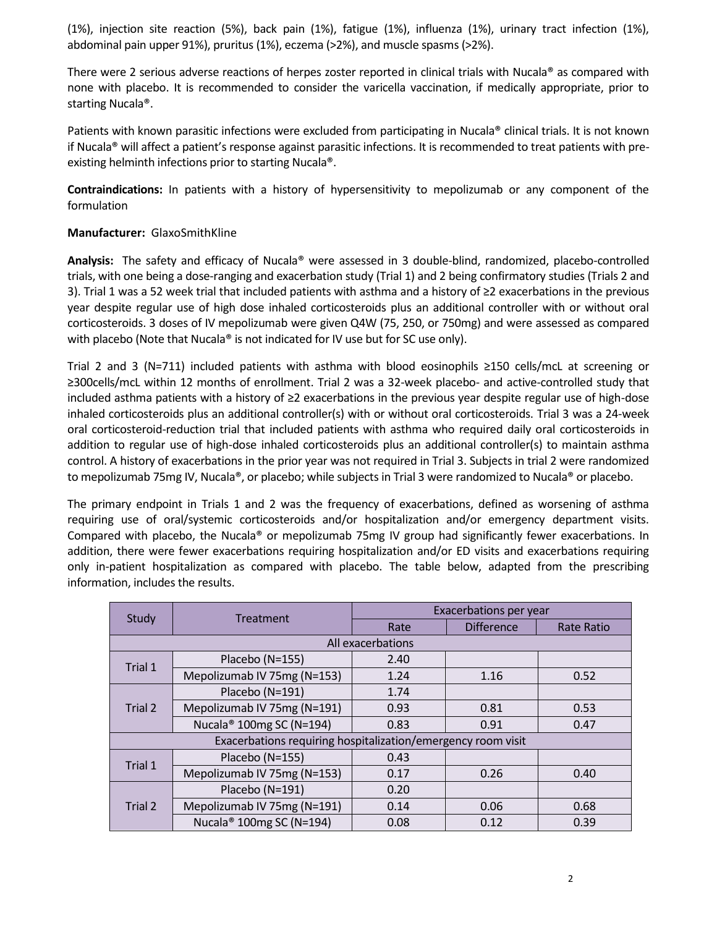(1%), injection site reaction (5%), back pain (1%), fatigue (1%), influenza (1%), urinary tract infection (1%), abdominal pain upper 91%), pruritus (1%), eczema (>2%), and muscle spasms (>2%).

There were 2 serious adverse reactions of herpes zoster reported in clinical trials with Nucala® as compared with none with placebo. It is recommended to consider the varicella vaccination, if medically appropriate, prior to starting Nucala®.

Patients with known parasitic infections were excluded from participating in Nucala® clinical trials. It is not known if Nucala® will affect a patient's response against parasitic infections. It is recommended to treat patients with preexisting helminth infections prior to starting Nucala®.

**Contraindications:** In patients with a history of hypersensitivity to mepolizumab or any component of the formulation

## **Manufacturer:** GlaxoSmithKline

**Analysis:** The safety and efficacy of Nucala® were assessed in 3 double-blind, randomized, placebo-controlled trials, with one being a dose-ranging and exacerbation study (Trial 1) and 2 being confirmatory studies (Trials 2 and 3). Trial 1 was a 52 week trial that included patients with asthma and a history of ≥2 exacerbations in the previous year despite regular use of high dose inhaled corticosteroids plus an additional controller with or without oral corticosteroids. 3 doses of IV mepolizumab were given Q4W (75, 250, or 750mg) and were assessed as compared with placebo (Note that Nucala<sup>®</sup> is not indicated for IV use but for SC use only).

Trial 2 and 3 (N=711) included patients with asthma with blood eosinophils ≥150 cells/mcL at screening or ≥300cells/mcL within 12 months of enrollment. Trial 2 was a 32-week placebo- and active-controlled study that included asthma patients with a history of ≥2 exacerbations in the previous year despite regular use of high-dose inhaled corticosteroids plus an additional controller(s) with or without oral corticosteroids. Trial 3 was a 24-week oral corticosteroid-reduction trial that included patients with asthma who required daily oral corticosteroids in addition to regular use of high-dose inhaled corticosteroids plus an additional controller(s) to maintain asthma control. A history of exacerbations in the prior year was not required in Trial 3. Subjects in trial 2 were randomized to mepolizumab 75mg IV, Nucala®, or placebo; while subjects in Trial 3 were randomized to Nucala® or placebo.

The primary endpoint in Trials 1 and 2 was the frequency of exacerbations, defined as worsening of asthma requiring use of oral/systemic corticosteroids and/or hospitalization and/or emergency department visits. Compared with placebo, the Nucala® or mepolizumab 75mg IV group had significantly fewer exacerbations. In addition, there were fewer exacerbations requiring hospitalization and/or ED visits and exacerbations requiring only in-patient hospitalization as compared with placebo. The table below, adapted from the prescribing information, includes the results.

| Study                                                        | Treatment                            | Exacerbations per year |                   |                   |  |
|--------------------------------------------------------------|--------------------------------------|------------------------|-------------------|-------------------|--|
|                                                              |                                      | Rate                   | <b>Difference</b> | <b>Rate Ratio</b> |  |
| All exacerbations                                            |                                      |                        |                   |                   |  |
| Trial 1                                                      | Placebo (N=155)                      | 2.40                   |                   |                   |  |
|                                                              | Mepolizumab IV 75mg (N=153)          | 1.24                   | 1.16              | 0.52              |  |
| Trial 2                                                      | Placebo (N=191)                      | 1.74                   |                   |                   |  |
|                                                              | Mepolizumab IV 75mg (N=191)          | 0.93                   | 0.81              | 0.53              |  |
|                                                              | Nucala <sup>®</sup> 100mg SC (N=194) | 0.83                   | 0.91              | 0.47              |  |
| Exacerbations requiring hospitalization/emergency room visit |                                      |                        |                   |                   |  |
| Trial 1                                                      | Placebo (N=155)                      | 0.43                   |                   |                   |  |
|                                                              | Mepolizumab IV 75mg (N=153)          | 0.17                   | 0.26              | 0.40              |  |
| Trial 2                                                      | Placebo (N=191)                      | 0.20                   |                   |                   |  |
|                                                              | Mepolizumab IV 75mg (N=191)          | 0.14                   | 0.06              | 0.68              |  |
|                                                              | Nucala <sup>®</sup> 100mg SC (N=194) | 0.08                   | 0.12              | 0.39              |  |